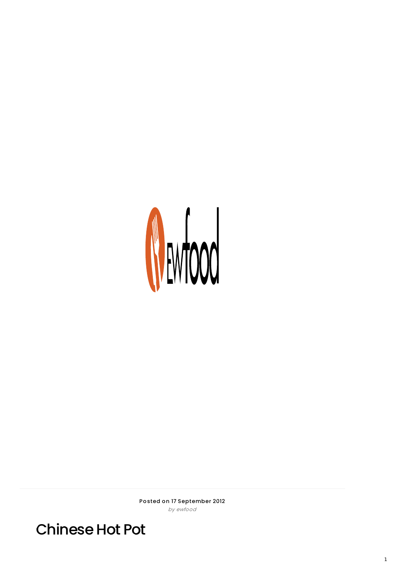

Posted on 17 September 2012 by ewfood

**Chinese Hot Pot**